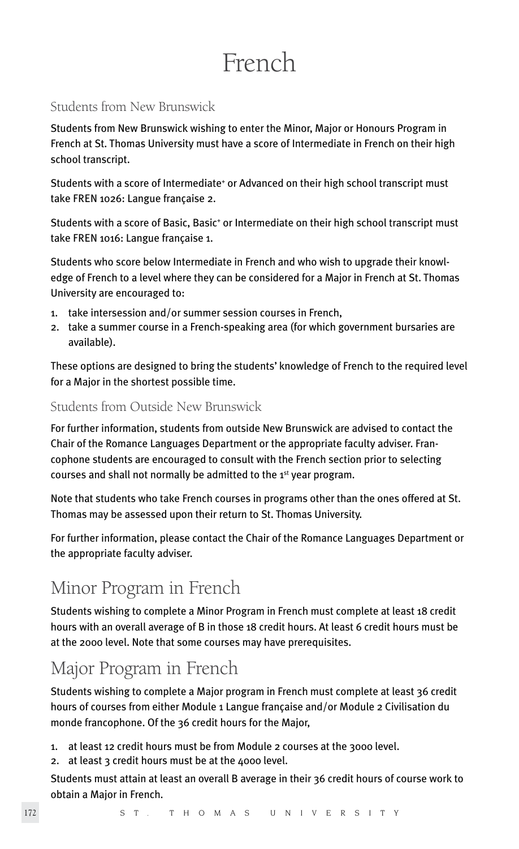# French

# Students from New Brunswick

Students from New Brunswick wishing to enter the Minor, Major or Honours Program in French at St. Thomas University must have a score of Intermediate in French on their high school transcript.

Students with a score of Intermediate<sup>+</sup> or Advanced on their high school transcript must take FREN 1026: Langue française 2.

Students with a score of Basic, Basic<sup>+</sup> or Intermediate on their high school transcript must take FREN 1016: Langue française 1.

Students who score below Intermediate in French and who wish to upgrade their knowledge of French to a level where they can be considered for a Major in French at St. Thomas University are encouraged to:

- 1. take intersession and/or summer session courses in French,
- 2. take a summer course in a French-speaking area (for which government bursaries are available).

These options are designed to bring the students' knowledge of French to the required level for a Major in the shortest possible time.

# Students from Outside New Brunswick

For further information, students from outside New Brunswick are advised to contact the Chair of the Romance Languages Department or the appropriate faculty adviser. Francophone students are encouraged to consult with the French section prior to selecting courses and shall not normally be admitted to the 1<sup>st</sup> year program.

Note that students who take French courses in programs other than the ones offered at St. Thomas may be assessed upon their return to St. Thomas University.

For further information, please contact the Chair of the Romance Languages Department or the appropriate faculty adviser.

# Minor Program in French

Students wishing to complete a Minor Program in French must complete at least 18 credit hours with an overall average of B in those 18 credit hours. At least 6 credit hours must be at the 2000 level. Note that some courses may have prerequisites.

# Major Program in French

Students wishing to complete a Major program in French must complete at least 36 credit hours of courses from either Module 1 Langue française and/or Module 2 Civilisation du monde francophone. Of the 36 credit hours for the Major,

- 1. at least 12 credit hours must be from Module 2 courses at the 3000 level.
- 2. at least 3 credit hours must be at the 4000 level.

Students must attain at least an overall B average in their 36 credit hours of course work to obtain a Major in French.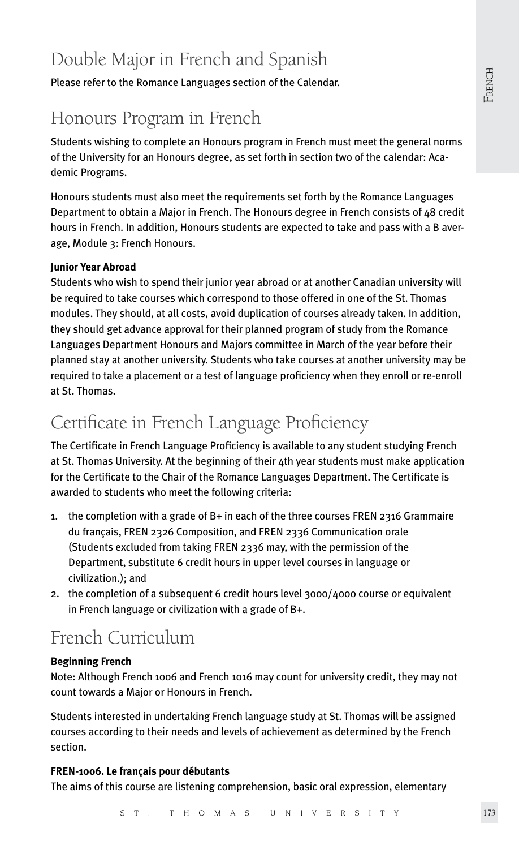# Double Major in French and Spanish

Please refer to the Romance Languages section of the Calendar.

# Honours Program in French

Students wishing to complete an Honours program in French must meet the general norms of the University for an Honours degree, as set forth in section two of the calendar: Academic Programs.

Honours students must also meet the requirements set forth by the Romance Languages Department to obtain a Major in French. The Honours degree in French consists of 48 credit hours in French. In addition, Honours students are expected to take and pass with a B average, Module 3: French Honours.

# **Junior Year Abroad**

Students who wish to spend their junior year abroad or at another Canadian university will be required to take courses which correspond to those offered in one of the St. Thomas modules. They should, at all costs, avoid duplication of courses already taken. In addition, they should get advance approval for their planned program of study from the Romance Languages Department Honours and Majors committee in March of the year before their planned stay at another university. Students who take courses at another university may be required to take a placement or a test of language proficiency when they enroll or re-enroll at St. Thomas.

# Certificate in French Language Proficiency

The Certificate in French Language Proficiency is available to any student studying French at St. Thomas University. At the beginning of their 4th year students must make application for the Certificate to the Chair of the Romance Languages Department. The Certificate is awarded to students who meet the following criteria:

- 1. the completion with a grade of B+ in each of the three courses FREN 2316 Grammaire du français, FREN 2326 Composition, and FREN 2336 Communication orale (Students excluded from taking FREN 2336 may, with the permission of the Department, substitute 6 credit hours in upper level courses in language or civilization.); and
- 2. the completion of a subsequent 6 credit hours level 3000/4000 course or equivalent in French language or civilization with a grade of B+.

# French Curriculum

# **Beginning French**

Note: Although French 1006 and French 1016 may count for university credit, they may not count towards a Major or Honours in French.

Students interested in undertaking French language study at St. Thomas will be assigned courses according to their needs and levels of achievement as determined by the French section.

# **FREN-1006. Le français pour débutants**

The aims of this course are listening comprehension, basic oral expression, elementary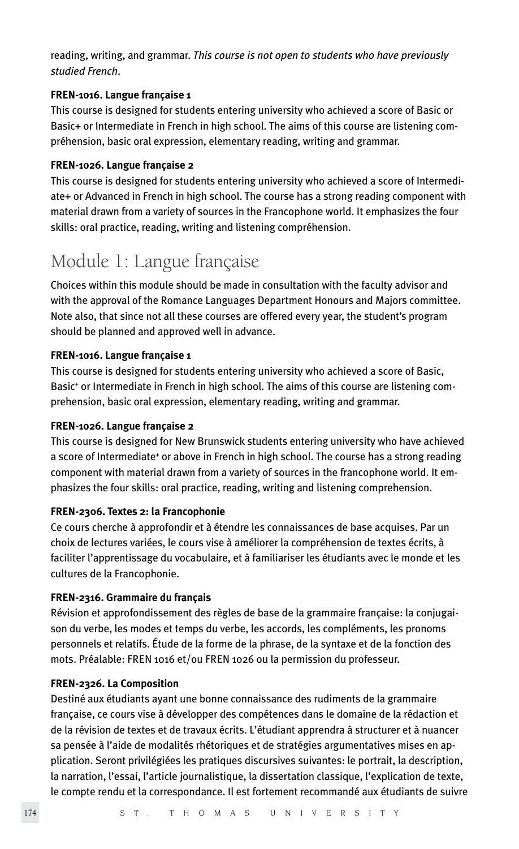reading, writing, and grammar. *This course is not open to students who have previously studied French*.

### **FREN-1016. Langue française 1**

This course is designed for students entering university who achieved a score of Basic or Basic+ or Intermediate in French in high school. The aims of this course are listening compréhension, basic oral expression, elementary reading, writing and grammar.

## **FREN-1026. Langue française 2**

This course is designed for students entering university who achieved a score of Intermediate+ or Advanced in French in high school. The course has a strong reading component with material drawn from a variety of sources in the Francophone world. It emphasizes the four skills: oral practice, reading, writing and listening compréhension.

# Module 1: Langue française

Choices within this module should be made in consultation with the faculty advisor and with the approval of the Romance Languages Department Honours and Majors committee. Note also, that since not all these courses are offered every year, the student's program should be planned and approved well in advance.

## **FREN-1016. Langue française 1**

This course is designed for students entering university who achieved a score of Basic, Basic<sup>+</sup> or Intermediate in French in high school. The aims of this course are listening comprehension, basic oral expression, elementary reading, writing and grammar.

### **FREN-1026. Langue française 2**

This course is designed for New Brunswick students entering university who have achieved a score of Intermediate<sup>+</sup> or above in French in high school. The course has a strong reading component with material drawn from a variety of sources in the francophone world. It emphasizes the four skills: oral practice, reading, writing and listening comprehension.

# **FREN-2306. Textes 2: la Francophonie**

Ce cours cherche à approfondir et à étendre les connaissances de base acquises. Par un choix de lectures variées, le cours vise à améliorer la compréhension de textes écrits, à faciliter l'apprentissage du vocabulaire, et à familiariser les étudiants avec le monde et les cultures de la Francophonie.

# **FREN-2316. Grammaire du français**

Révision et approfondissement des règles de base de la grammaire française: la conjugaison du verbe, les modes et temps du verbe, les accords, les compléments, les pronoms personnels et relatifs. Étude de la forme de la phrase, de la syntaxe et de la fonction des mots. Préalable: FREN 1016 et/ou FREN 1026 ou la permission du professeur.

# **FREN-2326. La Composition**

Destiné aux étudiants ayant une bonne connaissance des rudiments de la grammaire française, ce cours vise à développer des compétences dans le domaine de la rédaction et de la révision de textes et de travaux écrits. L'étudiant apprendra à structurer et à nuancer sa pensée à l'aide de modalités rhétoriques et de stratégies argumentatives mises en application. Seront privilégiées les pratiques discursives suivantes: le portrait, la description, la narration, l'essai, l'article journalistique, la dissertation classique, l'explication de texte, le compte rendu et la correspondance. Il est fortement recommandé aux étudiants de suivre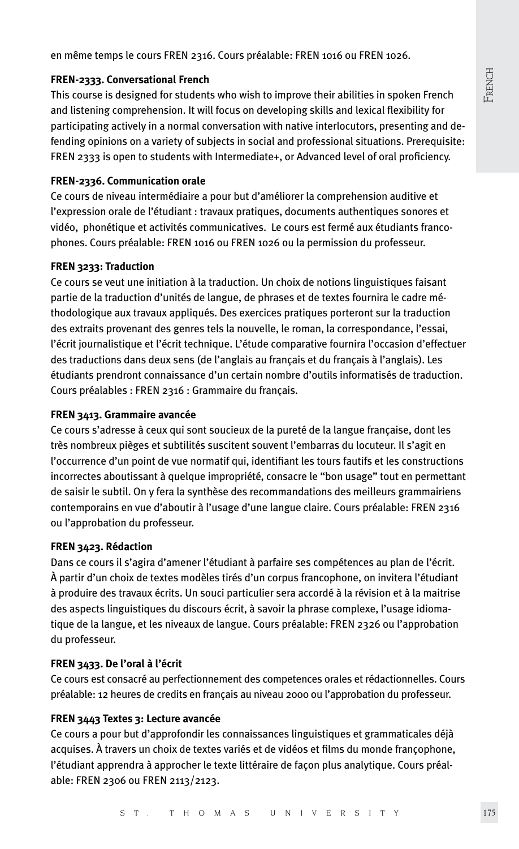en même temps le cours FREN 2316. Cours préalable: FREN 1016 ou FREN 1026.

#### **FREN-2333. Conversational French**

This course is designed for students who wish to improve their abilities in spoken French and listening comprehension. It will focus on developing skills and lexical flexibility for participating actively in a normal conversation with native interlocutors, presenting and defending opinions on a variety of subjects in social and professional situations. Prerequisite: FREN 2333 is open to students with Intermediate+, or Advanced level of oral proficiency.

#### **FREN-2336. Communication orale**

Ce cours de niveau intermédiaire a pour but d'améliorer la comprehension auditive et l'expression orale de l'étudiant : travaux pratiques, documents authentiques sonores et vidéo, phonétique et activités communicatives. Le cours est fermé aux étudiants francophones. Cours préalable: FREN 1016 ou FREN 1026 ou la permission du professeur.

#### **FREN 3233: Traduction**

Ce cours se veut une initiation à la traduction. Un choix de notions linguistiques faisant partie de la traduction d'unités de langue, de phrases et de textes fournira le cadre méthodologique aux travaux appliqués. Des exercices pratiques porteront sur la traduction des extraits provenant des genres tels la nouvelle, le roman, la correspondance, l'essai, l'écrit journalistique et l'écrit technique. L'étude comparative fournira l'occasion d'effectuer des traductions dans deux sens (de l'anglais au français et du français à l'anglais). Les étudiants prendront connaissance d'un certain nombre d'outils informatisés de traduction. Cours préalables : FREN 2316 : Grammaire du français.

## **FREN 3413. Grammaire avancée**

Ce cours s'adresse à ceux qui sont soucieux de la pureté de la langue française, dont les très nombreux pièges et subtilités suscitent souvent l'embarras du locuteur. Il s'agit en l'occurrence d'un point de vue normatif qui, identifiant les tours fautifs et les constructions incorrectes aboutissant à quelque impropriété, consacre le "bon usage" tout en permettant de saisir le subtil. On y fera la synthèse des recommandations des meilleurs grammairiens contemporains en vue d'aboutir à l'usage d'une langue claire. Cours préalable: FREN 2316 ou l'approbation du professeur.

#### **FREN 3423. Rédaction**

Dans ce cours il s'agira d'amener l'étudiant à parfaire ses compétences au plan de l'écrit. À partir d'un choix de textes modèles tirés d'un corpus francophone, on invitera l'étudiant à produire des travaux écrits. Un souci particulier sera accordé à la révision et à la maitrise des aspects linguistiques du discours écrit, à savoir la phrase complexe, l'usage idiomatique de la langue, et les niveaux de langue. Cours préalable: FREN 2326 ou l'approbation du professeur.

#### **FREN 3433. De l'oral à l'écrit**

Ce cours est consacré au perfectionnement des competences orales et rédactionnelles. Cours préalable: 12 heures de credits en français au niveau 2000 ou l'approbation du professeur.

#### **FREN 3443 Textes 3: Lecture avancée**

Ce cours a pour but d'approfondir les connaissances linguistiques et grammaticales déjà acquises. À travers un choix de textes variés et de vidéos et films du monde françophone, l'étudiant apprendra à approcher le texte littéraire de façon plus analytique. Cours préalable: FREN 2306 ou FREN 2113/2123.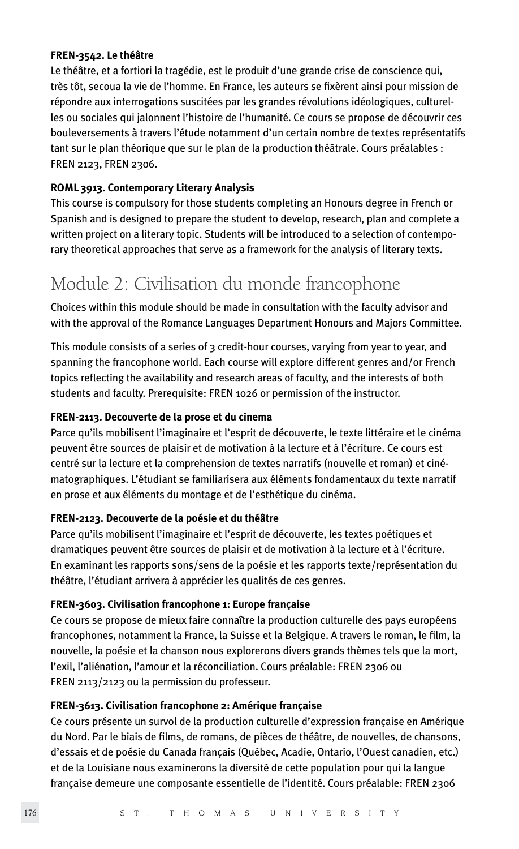#### **FREN-3542. Le théâtre**

Le théâtre, et a fortiori la tragédie, est le produit d'une grande crise de conscience qui, très tôt, secoua la vie de l'homme. En France, les auteurs se fixèrent ainsi pour mission de répondre aux interrogations suscitées par les grandes révolutions idéologiques, culturelles ou sociales qui jalonnent l'histoire de l'humanité. Ce cours se propose de découvrir ces bouleversements à travers l'étude notamment d'un certain nombre de textes représentatifs tant sur le plan théorique que sur le plan de la production théâtrale. Cours préalables : FREN 2123, FREN 2306.

# **ROML 3913. Contemporary Literary Analysis**

This course is compulsory for those students completing an Honours degree in French or Spanish and is designed to prepare the student to develop, research, plan and complete a written project on a literary topic. Students will be introduced to a selection of contemporary theoretical approaches that serve as a framework for the analysis of literary texts.

# Module 2: Civilisation du monde francophone

Choices within this module should be made in consultation with the faculty advisor and with the approval of the Romance Languages Department Honours and Majors Committee.

This module consists of a series of 3 credit-hour courses, varying from year to year, and spanning the francophone world. Each course will explore different genres and/or French topics reflecting the availability and research areas of faculty, and the interests of both students and faculty. Prerequisite: FREN 1026 or permission of the instructor.

#### **FREN-2113. Decouverte de la prose et du cinema**

Parce qu'ils mobilisent l'imaginaire et l'esprit de découverte, le texte littéraire et le cinéma peuvent être sources de plaisir et de motivation à la lecture et à l'écriture. Ce cours est centré sur la lecture et la comprehension de textes narratifs (nouvelle et roman) et cinématographiques. L'étudiant se familiarisera aux éléments fondamentaux du texte narratif en prose et aux éléments du montage et de l'esthétique du cinéma.

#### **FREN-2123. Decouverte de la poésie et du théâtre**

Parce qu'ils mobilisent l'imaginaire et l'esprit de découverte, les textes poétiques et dramatiques peuvent être sources de plaisir et de motivation à la lecture et à l'écriture. En examinant les rapports sons/sens de la poésie et les rapports texte/représentation du théâtre, l'étudiant arrivera à apprécier les qualités de ces genres.

#### **FREN-3603. Civilisation francophone 1: Europe française**

Ce cours se propose de mieux faire connaître la production culturelle des pays européens francophones, notamment la France, la Suisse et la Belgique. A travers le roman, le film, la nouvelle, la poésie et la chanson nous explorerons divers grands thèmes tels que la mort, l'exil, l'aliénation, l'amour et la réconciliation. Cours préalable: FREN 2306 ou FREN 2113/2123 ou la permission du professeur.

## **FREN-3613. Civilisation francophone 2: Amérique française**

Ce cours présente un survol de la production culturelle d'expression française en Amérique du Nord. Par le biais de films, de romans, de pièces de théâtre, de nouvelles, de chansons, d'essais et de poésie du Canada français (Québec, Acadie, Ontario, l'Ouest canadien, etc.) et de la Louisiane nous examinerons la diversité de cette population pour qui la langue française demeure une composante essentielle de l'identité. Cours préalable: FREN 2306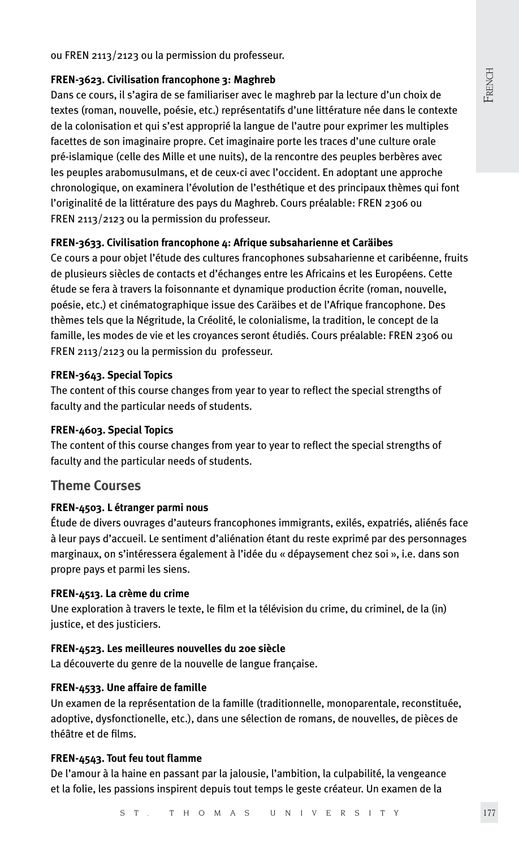French

ou FREN 2113/2123 ou la permission du professeur.

#### **FREN-3623. Civilisation francophone 3: Maghreb**

Dans ce cours, il s'agira de se familiariser avec le maghreb par la lecture d'un choix de textes (roman, nouvelle, poésie, etc.) représentatifs d'une littérature née dans le contexte de la colonisation et qui s'est approprié la langue de l'autre pour exprimer les multiples facettes de son imaginaire propre. Cet imaginaire porte les traces d'une culture orale pré-islamique (celle des Mille et une nuits), de la rencontre des peuples berbères avec les peuples arabomusulmans, et de ceux-ci avec l'occident. En adoptant une approche chronologique, on examinera l'évolution de l'esthétique et des principaux thèmes qui font l'originalité de la littérature des pays du Maghreb. Cours préalable: FREN 2306 ou FREN 2113/2123 ou la permission du professeur.

#### **FREN-3633. Civilisation francophone 4: Afrique subsaharienne et Caräibes**

Ce cours a pour objet l'étude des cultures francophones subsaharienne et caribéenne, fruits de plusieurs siècles de contacts et d'échanges entre les Africains et les Européens. Cette étude se fera à travers la foisonnante et dynamique production écrite (roman, nouvelle, poésie, etc.) et cinématographique issue des Caräibes et de l'Afrique francophone. Des thèmes tels que la Négritude, la Créolité, le colonialisme, la tradition, le concept de la famille, les modes de vie et les croyances seront étudiés. Cours préalable: FREN 2306 ou FREN 2113/2123 ou la permission du professeur.

#### **FREN-3643. Special Topics**

The content of this course changes from year to year to reflect the special strengths of faculty and the particular needs of students.

#### **FREN-4603. Special Topics**

The content of this course changes from year to year to reflect the special strengths of faculty and the particular needs of students.

# **Theme Courses**

#### **FREN-4503. L étranger parmi nous**

Étude de divers ouvrages d'auteurs francophones immigrants, exilés, expatriés, aliénés face à leur pays d'accueil. Le sentiment d'aliénation étant du reste exprimé par des personnages marginaux, on s'intéressera également à l'idée du « dépaysement chez soi », i.e. dans son propre pays et parmi les siens.

#### **FREN-4513. La crème du crime**

Une exploration à travers le texte, le film et la télévision du crime, du criminel, de la (in) justice, et des justiciers.

## **FREN-4523. Les meilleures nouvelles du 20e siècle**

La découverte du genre de la nouvelle de langue française.

#### **FREN-4533. Une affaire de famille**

Un examen de la représentation de la famille (traditionnelle, monoparentale, reconstituée, adoptive, dysfonctionelle, etc.), dans une sélection de romans, de nouvelles, de pièces de théâtre et de films.

#### **FREN-4543. Tout feu tout flamme**

De l'amour à la haine en passant par la jalousie, l'ambition, la culpabilité, la vengeance et la folie, les passions inspirent depuis tout temps le geste créateur. Un examen de la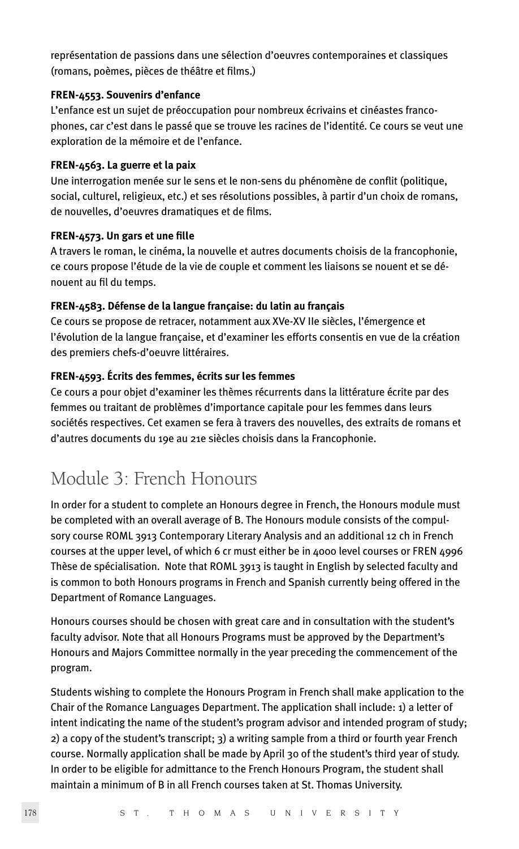représentation de passions dans une sélection d'oeuvres contemporaines et classiques (romans, poèmes, pièces de théâtre et films.)

### **FREN-4553. Souvenirs d'enfance**

L'enfance est un sujet de préoccupation pour nombreux écrivains et cinéastes francophones, car c'est dans le passé que se trouve les racines de l'identité. Ce cours se veut une exploration de la mémoire et de l'enfance.

## **FREN-4563. La guerre et la paix**

Une interrogation menée sur le sens et le non-sens du phénomène de conflit (politique, social, culturel, religieux, etc.) et ses résolutions possibles, à partir d'un choix de romans, de nouvelles, d'oeuvres dramatiques et de films.

## **FREN-4573. Un gars et une fille**

A travers le roman, le cinéma, la nouvelle et autres documents choisis de la francophonie, ce cours propose l'étude de la vie de couple et comment les liaisons se nouent et se dénouent au fil du temps.

# **FREN-4583. Défense de la langue française: du latin au français**

Ce cours se propose de retracer, notamment aux XVe-XV IIe siècles, l'émergence et l'évolution de la langue française, et d'examiner les efforts consentis en vue de la création des premiers chefs-d'oeuvre littéraires.

# **FREN-4593. Écrits des femmes, écrits sur les femmes**

Ce cours a pour objet d'examiner les thèmes récurrents dans la littérature écrite par des femmes ou traitant de problèmes d'importance capitale pour les femmes dans leurs sociétés respectives. Cet examen se fera à travers des nouvelles, des extraits de romans et d'autres documents du 19e au 21e siècles choisis dans la Francophonie.

# Module 3: French Honours

In order for a student to complete an Honours degree in French, the Honours module must be completed with an overall average of B. The Honours module consists of the compulsory course ROML 3913 Contemporary Literary Analysis and an additional 12 ch in French courses at the upper level, of which 6 cr must either be in 4000 level courses or FREN 4996 Thèse de spécialisation. Note that ROML 3913 is taught in English by selected faculty and is common to both Honours programs in French and Spanish currently being offered in the Department of Romance Languages.

Honours courses should be chosen with great care and in consultation with the student's faculty advisor. Note that all Honours Programs must be approved by the Department's Honours and Majors Committee normally in the year preceding the commencement of the program.

Students wishing to complete the Honours Program in French shall make application to the Chair of the Romance Languages Department. The application shall include: 1) a letter of intent indicating the name of the student's program advisor and intended program of study; 2) a copy of the student's transcript; 3) a writing sample from a third or fourth year French course. Normally application shall be made by April 30 of the student's third year of study. In order to be eligible for admittance to the French Honours Program, the student shall maintain a minimum of B in all French courses taken at St. Thomas University.